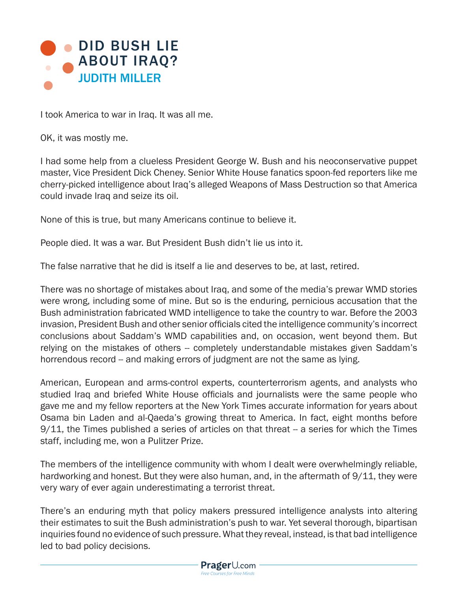

I took America to war in Iraq. It was all me.

OK, it was mostly me.

I had some help from a clueless President George W. Bush and his neoconservative puppet master, Vice President Dick Cheney. Senior White House fanatics spoon-fed reporters like me cherry-picked intelligence about Iraq's alleged Weapons of Mass Destruction so that America could invade Iraq and seize its oil.

None of this is true, but many Americans continue to believe it.

People died. It was a war. But President Bush didn't lie us into it.

The false narrative that he did is itself a lie and deserves to be, at last, retired.

There was no shortage of mistakes about Iraq, and some of the media's prewar WMD stories were wrong, including some of mine. But so is the enduring, pernicious accusation that the Bush administration fabricated WMD intelligence to take the country to war. Before the 2003 invasion, President Bush and other senior officials cited the intelligence community's incorrect conclusions about Saddam's WMD capabilities and, on occasion, went beyond them. But relying on the mistakes of others -- completely understandable mistakes given Saddam's horrendous record -- and making errors of judgment are not the same as lying.

American, European and arms-control experts, counterterrorism agents, and analysts who studied Iraq and briefed White House officials and journalists were the same people who gave me and my fellow reporters at the New York Times accurate information for years about Osama bin Laden and al-Qaeda's growing threat to America. In fact, eight months before 9/11, the Times published a series of articles on that threat -- a series for which the Times staff, including me, won a Pulitzer Prize.

The members of the intelligence community with whom I dealt were overwhelmingly reliable, hardworking and honest. But they were also human, and, in the aftermath of 9/11, they were very wary of ever again underestimating a terrorist threat.

There's an enduring myth that policy makers pressured intelligence analysts into altering their estimates to suit the Bush administration's push to war. Yet several thorough, bipartisan inquiries found no evidence of such pressure. What they reveal, instead, is that bad intelligence led to bad policy decisions.